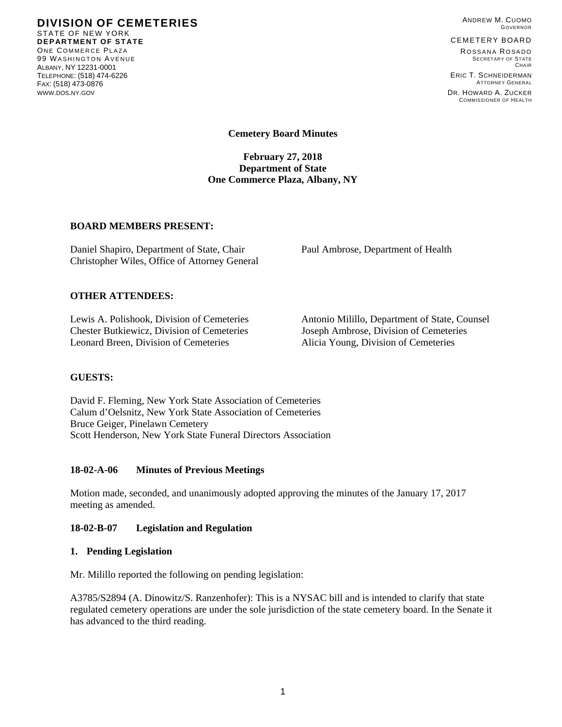**DIVISION OF CEMETERIES**  STATE OF NEW YORK **DEPARTMENT OF STATE**  ONE COMMERCE PLAZA 99 WASHINGTON AVENUE ALBANY, NY 12231-0001 TELEPHONE: (518) 474-6226 FAX: (518) 473-0876 WWW.DOS.NY.GOV

ANDREW M. CUOMO GOVERNOR

#### CEMETERY BOARD

ROSSANA ROSADO SECRETARY OF STATE **CHAIR** ERIC T. SCHNEIDERMAN

ATTORNEY GENERAL DR. HOWARD A. ZUCKER COMMISSIONER OF HEALTH

**Cemetery Board Minutes** 

**February 27, 2018 Department of State One Commerce Plaza, Albany, NY** 

# **BOARD MEMBERS PRESENT:**

Daniel Shapiro, Department of State, Chair Paul Ambrose, Department of Health Christopher Wiles, Office of Attorney General

### **OTHER ATTENDEES:**

Chester Butkiewicz, Division of Cemeteries Joseph Ambrose, Division of Cemeteries Leonard Breen, Division of Cemeteries Alicia Young, Division of Cemeteries

Lewis A. Polishook, Division of Cemeteries Antonio Milillo, Department of State, Counsel

### **GUESTS:**

David F. Fleming, New York State Association of Cemeteries Calum d'Oelsnitz, New York State Association of Cemeteries Bruce Geiger, Pinelawn Cemetery Scott Henderson, New York State Funeral Directors Association

### **18-02-A-06 Minutes of Previous Meetings**

Motion made, seconded, and unanimously adopted approving the minutes of the January 17, 2017 meeting as amended.

### **18-02-B-07 Legislation and Regulation**

### **1. Pending Legislation**

Mr. Milillo reported the following on pending legislation:

A3785/S2894 (A. Dinowitz/S. Ranzenhofer): This is a NYSAC bill and is intended to clarify that state regulated cemetery operations are under the sole jurisdiction of the state cemetery board. In the Senate it has advanced to the third reading.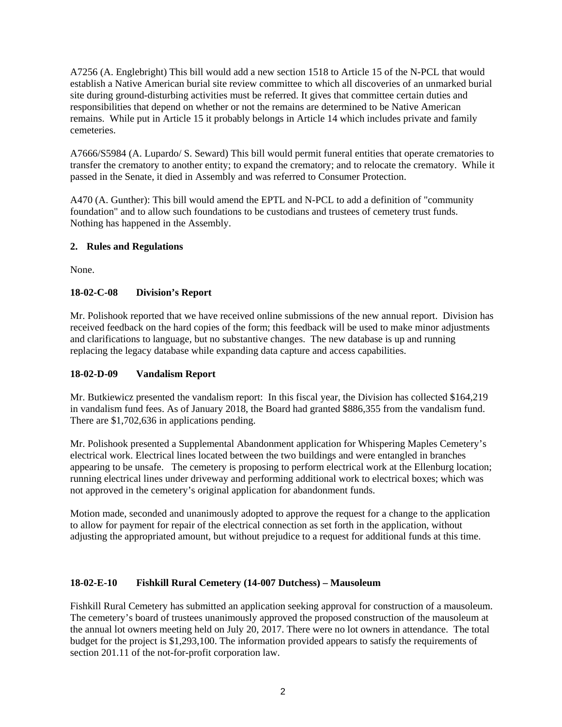A7256 (A. Englebright) This bill would add a new section 1518 to Article 15 of the N-PCL that would establish a Native American burial site review committee to which all discoveries of an unmarked burial site during ground-disturbing activities must be referred. It gives that committee certain duties and responsibilities that depend on whether or not the remains are determined to be Native American remains. While put in Article 15 it probably belongs in Article 14 which includes private and family cemeteries.

A7666/S5984 (A. Lupardo/ S. Seward) This bill would permit funeral entities that operate crematories to transfer the crematory to another entity; to expand the crematory; and to relocate the crematory. While it passed in the Senate, it died in Assembly and was referred to Consumer Protection.

A470 (A. Gunther): This bill would amend the EPTL and N-PCL to add a definition of "community foundation" and to allow such foundations to be custodians and trustees of cemetery trust funds. Nothing has happened in the Assembly.

# **2. Rules and Regulations**

None.

# **18-02-C-08 Division's Report**

Mr. Polishook reported that we have received online submissions of the new annual report. Division has received feedback on the hard copies of the form; this feedback will be used to make minor adjustments and clarifications to language, but no substantive changes. The new database is up and running replacing the legacy database while expanding data capture and access capabilities.

### **18-02-D-09 Vandalism Report**

Mr. Butkiewicz presented the vandalism report: In this fiscal year, the Division has collected \$164,219 in vandalism fund fees. As of January 2018, the Board had granted \$886,355 from the vandalism fund. There are \$1,702,636 in applications pending.

Mr. Polishook presented a Supplemental Abandonment application for Whispering Maples Cemetery's electrical work. Electrical lines located between the two buildings and were entangled in branches appearing to be unsafe. The cemetery is proposing to perform electrical work at the Ellenburg location; running electrical lines under driveway and performing additional work to electrical boxes; which was not approved in the cemetery's original application for abandonment funds.

Motion made, seconded and unanimously adopted to approve the request for a change to the application to allow for payment for repair of the electrical connection as set forth in the application, without adjusting the appropriated amount, but without prejudice to a request for additional funds at this time.

### **18-02-E-10 Fishkill Rural Cemetery (14-007 Dutchess) – Mausoleum**

Fishkill Rural Cemetery has submitted an application seeking approval for construction of a mausoleum. The cemetery's board of trustees unanimously approved the proposed construction of the mausoleum at the annual lot owners meeting held on July 20, 2017. There were no lot owners in attendance. The total budget for the project is \$1,293,100. The information provided appears to satisfy the requirements of section 201.11 of the not-for-profit corporation law.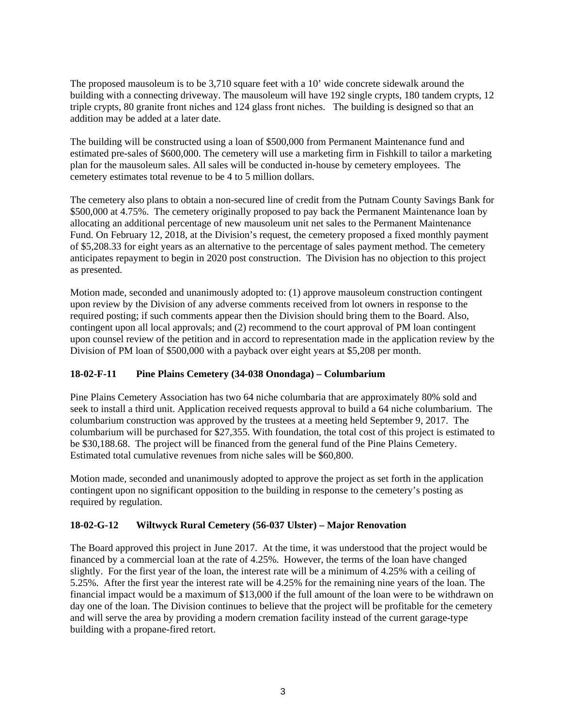The proposed mausoleum is to be 3,710 square feet with a 10' wide concrete sidewalk around the building with a connecting driveway. The mausoleum will have 192 single crypts, 180 tandem crypts, 12 triple crypts, 80 granite front niches and 124 glass front niches. The building is designed so that an addition may be added at a later date.

The building will be constructed using a loan of \$500,000 from Permanent Maintenance fund and estimated pre-sales of \$600,000. The cemetery will use a marketing firm in Fishkill to tailor a marketing plan for the mausoleum sales. All sales will be conducted in-house by cemetery employees. The cemetery estimates total revenue to be 4 to 5 million dollars.

The cemetery also plans to obtain a non-secured line of credit from the Putnam County Savings Bank for \$500,000 at 4.75%. The cemetery originally proposed to pay back the Permanent Maintenance loan by allocating an additional percentage of new mausoleum unit net sales to the Permanent Maintenance Fund. On February 12, 2018, at the Division's request, the cemetery proposed a fixed monthly payment of \$5,208.33 for eight years as an alternative to the percentage of sales payment method. The cemetery anticipates repayment to begin in 2020 post construction. The Division has no objection to this project as presented.

Motion made, seconded and unanimously adopted to: (1) approve mausoleum construction contingent upon review by the Division of any adverse comments received from lot owners in response to the required posting; if such comments appear then the Division should bring them to the Board. Also, contingent upon all local approvals; and (2) recommend to the court approval of PM loan contingent upon counsel review of the petition and in accord to representation made in the application review by the Division of PM loan of \$500,000 with a payback over eight years at \$5,208 per month.

# **18-02-F-11 Pine Plains Cemetery (34-038 Onondaga) – Columbarium**

Pine Plains Cemetery Association has two 64 niche columbaria that are approximately 80% sold and seek to install a third unit. Application received requests approval to build a 64 niche columbarium. The columbarium construction was approved by the trustees at a meeting held September 9, 2017. The columbarium will be purchased for \$27,355. With foundation, the total cost of this project is estimated to be \$30,188.68. The project will be financed from the general fund of the Pine Plains Cemetery. Estimated total cumulative revenues from niche sales will be \$60,800.

Motion made, seconded and unanimously adopted to approve the project as set forth in the application contingent upon no significant opposition to the building in response to the cemetery's posting as required by regulation.

# **18-02-G-12 Wiltwyck Rural Cemetery (56-037 Ulster) – Major Renovation**

The Board approved this project in June 2017. At the time, it was understood that the project would be financed by a commercial loan at the rate of 4.25%. However, the terms of the loan have changed slightly. For the first year of the loan, the interest rate will be a minimum of 4.25% with a ceiling of 5.25%. After the first year the interest rate will be 4.25% for the remaining nine years of the loan. The financial impact would be a maximum of \$13,000 if the full amount of the loan were to be withdrawn on day one of the loan. The Division continues to believe that the project will be profitable for the cemetery and will serve the area by providing a modern cremation facility instead of the current garage-type building with a propane-fired retort.